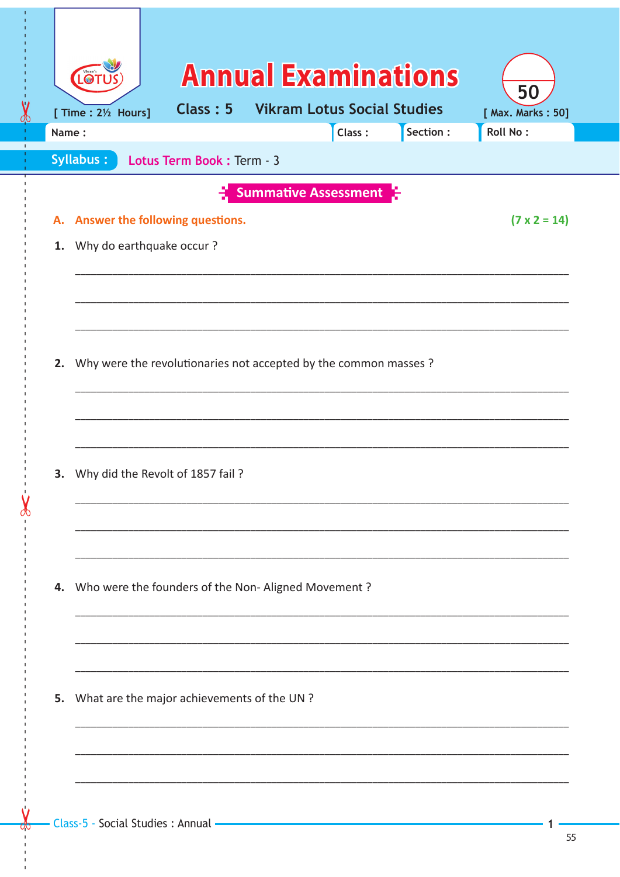| $\checkmark$ | LO <sup>-</sup><br>[ Time : 21/2 Hours]                                                                         | Class: 5                  | <b>Annual Examinations</b><br><b>Vikram Lotus Social Studies</b> |        |          | 50<br>[ Max. Marks: 50] |
|--------------|-----------------------------------------------------------------------------------------------------------------|---------------------------|------------------------------------------------------------------|--------|----------|-------------------------|
| dp<br>Name:  |                                                                                                                 |                           |                                                                  | Class: | Section: | <b>Roll No:</b>         |
|              | Syllabus:                                                                                                       | Lotus Term Book: Term - 3 |                                                                  |        |          |                         |
|              |                                                                                                                 |                           | <b>Summative Assessment</b>                                      |        |          |                         |
|              | A. Answer the following questions.                                                                              |                           |                                                                  |        |          | $(7 \times 2 = 14)$     |
|              | 1. Why do earthquake occur?                                                                                     |                           |                                                                  |        |          |                         |
|              |                                                                                                                 |                           |                                                                  |        |          |                         |
|              | 2. Why were the revolutionaries not accepted by the common masses ?<br>3. Why did the Revolt of 1857 fail?      |                           |                                                                  |        |          |                         |
|              | 4. Who were the founders of the Non-Aligned Movement?                                                           |                           |                                                                  |        |          |                         |
|              | 5. What are the major achievements of the UN ?                                                                  |                           |                                                                  |        |          |                         |
|              | Class-5 - Social Studies : Annual - The Class - Social Studies : Annual - The Class - Social Studies : Annual - |                           |                                                                  |        |          |                         |

 $\mathbf{I}$ 

 $\mathbf{r}$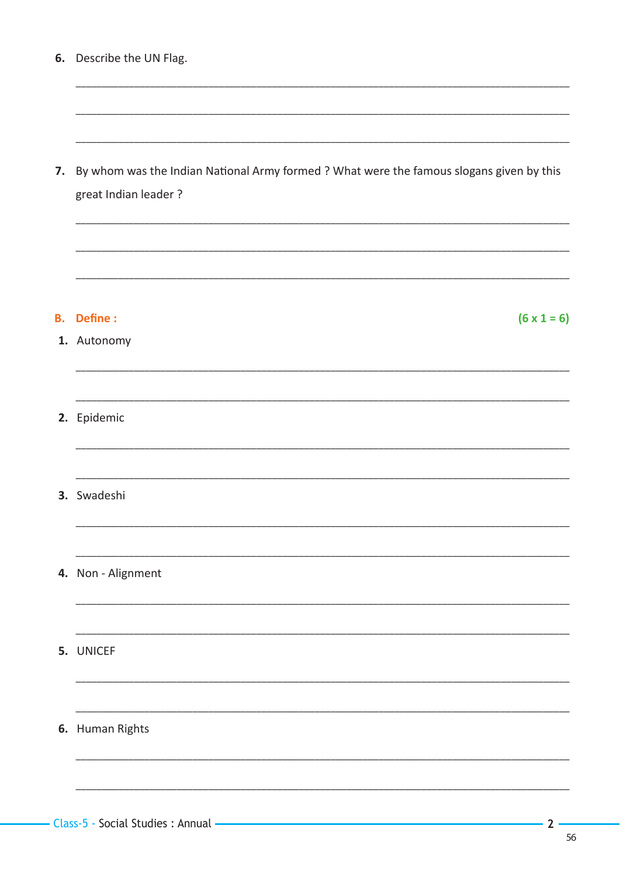| Describe the UN Flag.<br>6. |  |
|-----------------------------|--|
|-----------------------------|--|

| 7. By whom was the Indian National Army formed ? What were the famous slogans given by this |
|---------------------------------------------------------------------------------------------|
| great Indian leader?                                                                        |

#### **B.** Define :

## 1. Autonomy

### 2. Epidemic

3. Swadeshi

## 4. Non - Alignment

5. UNICEF

# 6. Human Rights

 $2<sup>1</sup>$ 

 $(6 \times 1 = 6)$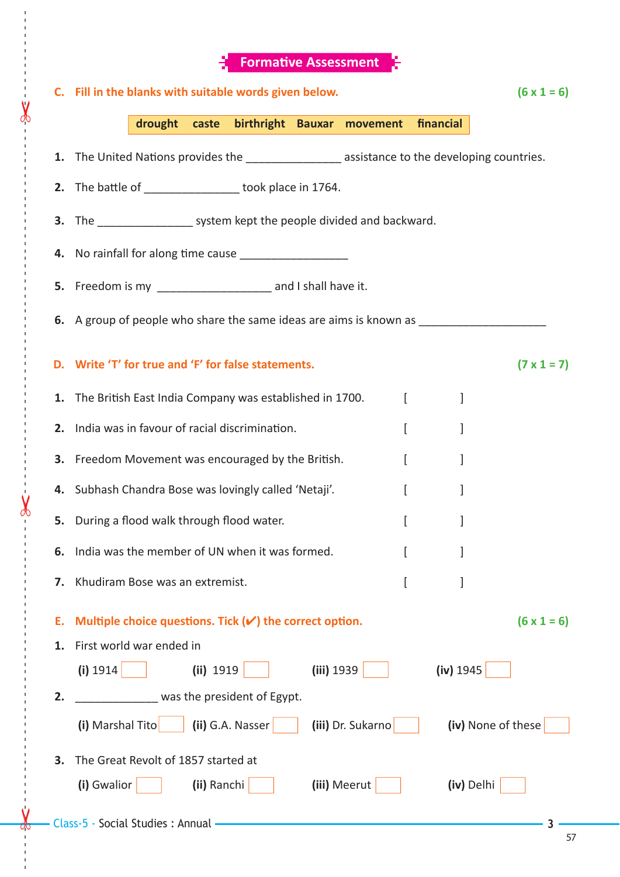|    | <b>Formative Assessment</b>                                                                     |                    |  |  |  |  |  |
|----|-------------------------------------------------------------------------------------------------|--------------------|--|--|--|--|--|
|    | C. Fill in the blanks with suitable words given below.                                          |                    |  |  |  |  |  |
|    | drought caste birthright Bauxar movement<br>financial                                           |                    |  |  |  |  |  |
|    | 1. The United Nations provides the ____________________ assistance to the developing countries. |                    |  |  |  |  |  |
|    | 2. The battle of __________________ took place in 1764.                                         |                    |  |  |  |  |  |
|    | 3. The ____________________ system kept the people divided and backward.                        |                    |  |  |  |  |  |
| 4. | No rainfall for along time cause _____________________                                          |                    |  |  |  |  |  |
| 5. |                                                                                                 |                    |  |  |  |  |  |
|    | 6. A group of people who share the same ideas are aims is known as ______________               |                    |  |  |  |  |  |
|    |                                                                                                 |                    |  |  |  |  |  |
|    | D. Write 'T' for true and 'F' for false statements.                                             | $(7 \times 1 = 7)$ |  |  |  |  |  |
| 1. | The British East India Company was established in 1700.<br>$\lceil$                             |                    |  |  |  |  |  |
| 2. | India was in favour of racial discrimination.<br><sub>[</sub><br>]                              |                    |  |  |  |  |  |
| З. | Freedom Movement was encouraged by the British.<br>ſ<br>1                                       |                    |  |  |  |  |  |
|    | 4. Subhash Chandra Bose was lovingly called 'Netaji'.<br>I<br>1                                 |                    |  |  |  |  |  |
| 5. | ſ<br>During a flood walk through flood water.<br>1                                              |                    |  |  |  |  |  |
| 6. | India was the member of UN when it was formed.<br>1<br>t                                        |                    |  |  |  |  |  |
| 7. | Khudiram Bose was an extremist.                                                                 |                    |  |  |  |  |  |
| Е. | Multiple choice questions. Tick $(v')$ the correct option.                                      | $(6 \times 1 = 6)$ |  |  |  |  |  |
| 1. | First world war ended in                                                                        |                    |  |  |  |  |  |
|    | (i) 1914<br>(ii) 1919<br>(iii) 1939<br>(iv) 1945                                                |                    |  |  |  |  |  |
| 2. | was the president of Egypt.                                                                     |                    |  |  |  |  |  |
|    | (iii) Dr. Sukarno<br>(ii) G.A. Nasser<br>(i) Marshal Tito<br>(iv) None of these                 |                    |  |  |  |  |  |
| 3. | The Great Revolt of 1857 started at                                                             |                    |  |  |  |  |  |
|    | (i) Gwalior<br>(ii) Ranchi<br>(iii) Meerut<br>(iv) Delhi                                        |                    |  |  |  |  |  |
|    | - Class-5 - Social Studies : Annual -                                                           |                    |  |  |  |  |  |

------ - - --------------------------------------- --- -------------------------------------------------- ------------- - - - - ---